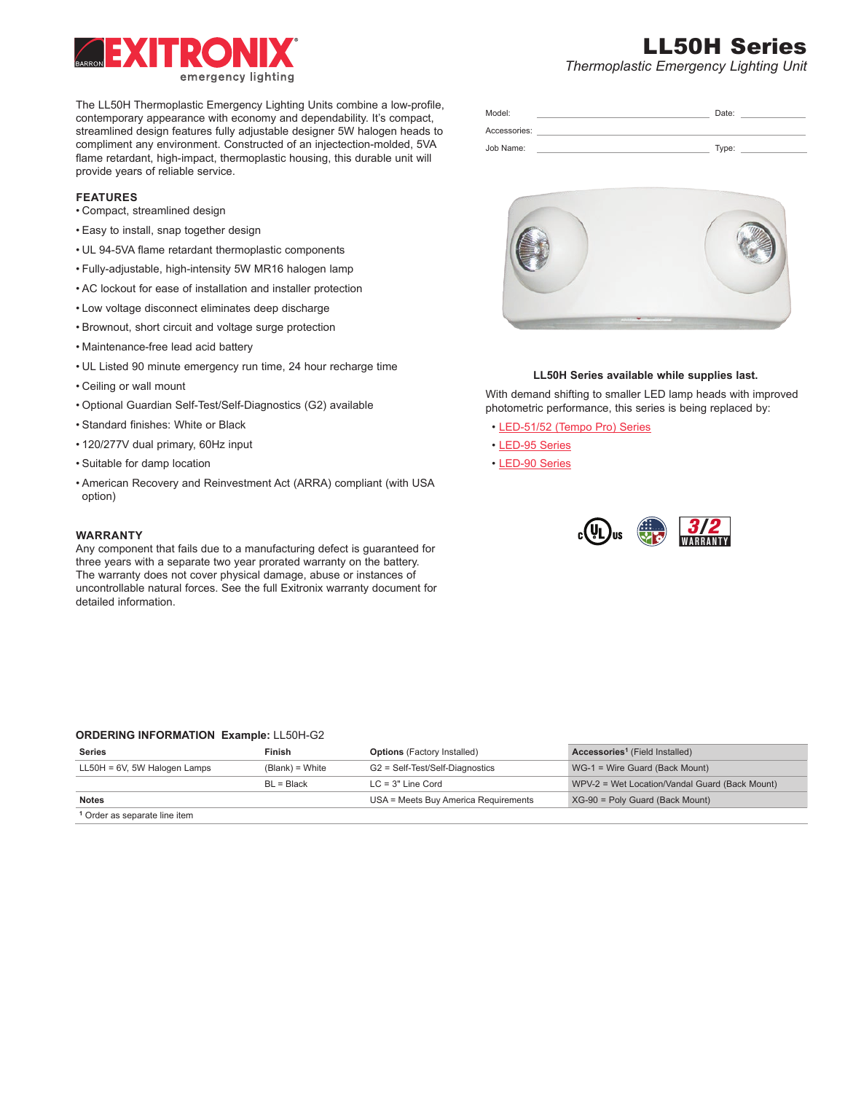

The LL50H Thermoplastic Emergency Lighting Units combine a low-profile, contemporary appearance with economy and dependability. It's compact, streamlined design features fully adjustable designer 5W halogen heads to compliment any environment. Constructed of an injectection-molded, 5VA flame retardant, high-impact, thermoplastic housing, this durable unit will provide years of reliable service.

# **FEATURES**

- Compact, streamlined design
- Easy to install, snap together design
- UL 94-5VA flame retardant thermoplastic components
- Fully-adjustable, high-intensity 5W MR16 halogen lamp
- AC lockout for ease of installation and installer protection
- Low voltage disconnect eliminates deep discharge
- Brownout, short circuit and voltage surge protection
- Maintenance-free lead acid battery
- UL Listed 90 minute emergency run time, 24 hour recharge time
- Ceiling or wall mount
- Optional Guardian Self-Test/Self-Diagnostics (G2) available
- Standard finishes: White or Black
- 120/277V dual primary, 60Hz input
- Suitable for damp location
- American Recovery and Reinvestment Act (ARRA) compliant (with USA option)

# **WARRANTY**

Any component that fails due to a manufacturing defect is guaranteed for three years with a separate two year prorated warranty on the battery. The warranty does not cover physical damage, abuse or instances of uncontrollable natural forces. See the full Exitronix warranty document for detailed information.

# Model: Date: Accessories: Job Name: Type:



# **LL50H Series available while supplies last.**

With demand shifting to smaller LED lamp heads with improved photometric performance, this series is being replaced by:

- [LED-51/52 \(Tempo Pro\) Series](https://barronltg.com/detail.php?product=LED-51/52-Tempo-Pro-Thermoplastic-Series&id=15)
- [LED-95 Series](https://barronltg.com/detail.php?product=Thermoplastic-LED-Emergency-Lighting-Unit&id=317)
- [LED-90 Series](https://barronltg.com/detail.php?product=LED-90-Thermoplastic-Series&id=17)



# **ORDERING INFORMATION Example:** LL50H-G2

| <b>Series</b>                            | <b>Finish</b>     | <b>Options</b> (Factory Installed)   | <b>Accessories<sup>1</sup></b> (Field Installed) |
|------------------------------------------|-------------------|--------------------------------------|--------------------------------------------------|
| $LL50H = 6V$ , 5W Halogen Lamps          | $(Blank) = White$ | G2 = Self-Test/Self-Diagnostics      | WG-1 = Wire Guard (Back Mount)                   |
|                                          | BL = Black        | $LC = 3"$ Line Cord                  | WPV-2 = Wet Location/Vandal Guard (Back Mount)   |
| <b>Notes</b>                             |                   | USA = Meets Buy America Requirements | $XG-90$ = Poly Guard (Back Mount)                |
| <sup>1</sup> Order as separate line item |                   |                                      |                                                  |

# LL50H Series

*Thermoplastic Emergency Lighting Unit*